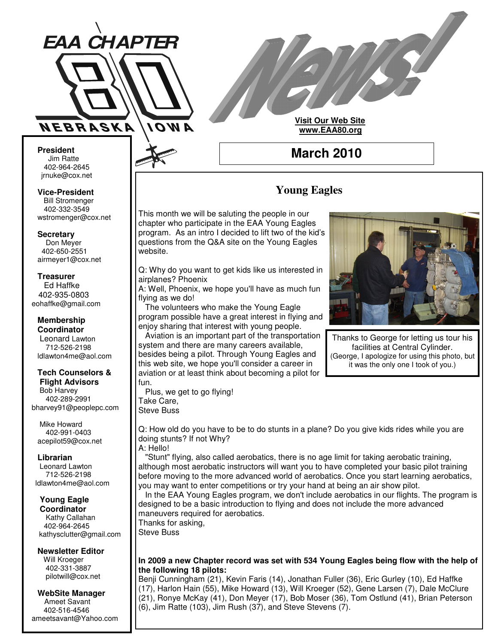

**President** Jim Ratte 402-964-2645 jrnuke@cox.net Jim Ratte<br>402-964-2645<br>rnuke@cox.net<br>**ice-President**<br>Bill Stromenger

**Vice-President Bill Stromenger** 402-332-3549 jrnuke@cox.net 402-332-3549wstromenger@cox.net

**Secretary** Don Meyer Don Meyer 402-650-2551

# airmeyer1@cox.net

**Treasurer** Ed Haffke Ed Haffke 402-935-0803 eohaffke@gmail.com

**Membership Coordinator** Leonard Lawton

## 402-895-0125 712-526-2198 ldlawton4me@aol.com

**Tech Counselors & Tech Counselors & Flight Advisors Flight Advisors** Bob Harvey Bob Harvey

402-289-2991 402-289-2991 bharvey91@peoplepc.com bharvey91@peoplepc.com

Mike Howard Mike Howard 402-991-0403 402-991-0403 acepilot59@cox.net acepilot59@cox.net

**Librarian Librarian** Leonard Lawton Leonard Lawton 712-526-2198 712-526-2198 ldlawton4me@aol.com ldlawton4me@aol.com

**Young Eagle Young Eagle Coordinator Coordinator** Kathy Callahan 402-964-2645 402-964-2645 kathysclutter@gmail.com

#### **Newsletter Editor Newsletter Editor** Will Kroeger Will Kroeger 402-331-3887 402-331-3887 pilotwill@cox.net pilotwill@cox.net

**WebSite Manager WebSite Manager** Ameet Savant Ameet Savant 402-516-4546 402-516-4546 ameetsavant@Yahoo.com ameetsavant@Yahoo.com

## **Young Eagles**

This month we will be saluting the people in our chapter who participate in the EAA Young Eagles program. As an intro I decided to lift two of the kid's questions from the Q&A site on the Young Eagles website.

Q: Why do you want to get kids like us interested in airplanes? Phoenix

A: Well, Phoenix, we hope you'll have as much fun flying as we do!

The volunteers who make the Young Eagle program possible have a great interest in flying and enjoy sharing that interest with young people.

Aviation is an important part of the transportation system and there are many careers available, besides being a pilot. Through Young Eagles and this web site, we hope you'll consider a career in aviation or at least think about becoming a pilot for fun.



Thanks to George for letting us tour his facilities at Central Cylinder. (George, I apologize for using this photo, but it was the only one I took of you.)

Q: How old do you have to be to do stunts in a plane? Do you give kids rides while you are doing stunts? If not Why? A: Hello!

"Stunt" flying, also called aerobatics, there is no age limit for taking aerobatic training, although most aerobatic instructors will want you to have completed your basic pilot training before moving to the more advanced world of aerobatics. Once you start learning aerobatics, you may want to enter competitions or try your hand at being an air show pilot.

In the EAA Young Eagles program, we don't include aerobatics in our flights. The program is designed to be a basic introduction to flying and does not include the more advanced maneuvers required for aerobatics. Thanks for asking,

Steve Buss

## **In 2009 a new Chapter record was set with 534 Young Eagles being flow with the help of the following 18 pilots:**

Benji Cunningham (21), Kevin Faris (14), Jonathan Fuller (36), Eric Gurley (10), Ed Haffke (17), Harlon Hain (55), Mike Howard (13), Will Kroeger (52), Gene Larsen (7), Dale McClure (21), Ronye McKay (41), Don Meyer (17), Bob Moser (36), Tom Ostlund (41), Brian Peterson (6), Jim Ratte (103), Jim Rush (37), and Steve Stevens (7).

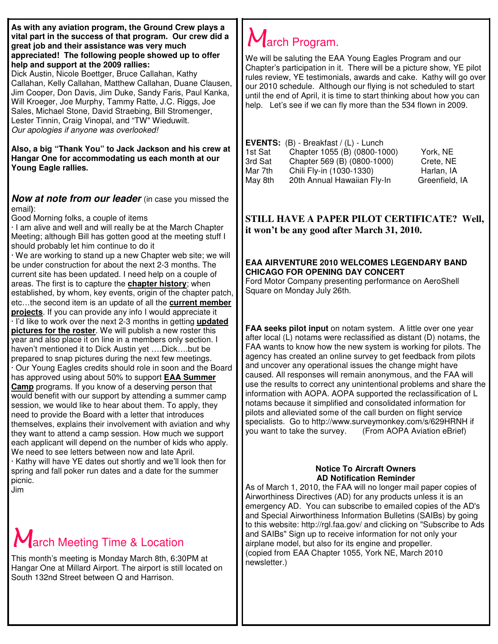**As with any aviation program, the Ground Crew plays a vital part in the success of that program. Our crew did a great job and their assistance was very much appreciated! The following people showed up to offer help and support at the 2009 rallies:**

Dick Austin, Nicole Boettger, Bruce Callahan, Kathy Callahan, Kelly Callahan, Matthew Callahan, Duane Clausen, Jim Cooper, Don Davis, Jim Duke, Sandy Faris, Paul Kanka, Will Kroeger, Joe Murphy, Tammy Ratte, J.C. Riggs, Joe Sales, Michael Stone, David Straebing, Bill Stromenger, Lester Tinnin, Craig Vinopal, and "TW" Wieduwilt. *Our apologies if anyone was overlooked!*

**Also, a big "Thank You" to Jack Jackson and his crew at Hangar One for accommodating us each month at our Young Eagle rallies.**

#### *Now at note from our leader* (in case you missed the email**)**:

Good Morning folks, a couple of items

· I am alive and well and will really be at the March Chapter Meeting; although Bill has gotten good at the meeting stuff I should probably let him continue to do it

· We are working to stand up a new Chapter web site; we will be under construction for about the next 2-3 months. The current site has been updated. I need help on a couple of areas. The first is to capture the **chapter history**; when established, by whom, key events, origin of the chapter patch, etc…the second item is an update of all the **current member projects**. If you can provide any info I would appreciate it · I'd like to work over the next 2-3 months in getting **updated pictures for the roster**. We will publish a new roster this year and also place it on line in a members only section. I haven't mentioned it to Dick Austin yet ….Dick….but be prepared to snap pictures during the next few meetings. · Our Young Eagles credits should role in soon and the Board has approved using about 50% to support **EAA Summer Camp** programs. If you know of a deserving person that would benefit with our support by attending a summer camp session, we would like to hear about them. To apply, they need to provide the Board with a letter that introduces themselves, explains their involvement with aviation and why they want to attend a camp session. How much we support each applicant will depend on the number of kids who apply. We need to see letters between now and late April. · Kathy will have YE dates out shortly and we'll look then for

spring and fall poker run dates and a date for the summer picnic. Jim

## March Meeting Time & Location

This month's meeting is Monday March 8th, 6:30PM at Hangar One at Millard Airport. The airport is still located on South 132nd Street between Q and Harrison.

## $M$ arch Program.

We will be saluting the EAA Young Eagles Program and our Chapter's participation in it. There will be a picture show, YE pilot rules review, YE testimonials, awards and cake. Kathy will go over our 2010 schedule. Although our flying is not scheduled to start until the end of April, it is time to start thinking about how you can help. Let's see if we can fly more than the 534 flown in 2009.

|         | <b>EVENTS:</b> $(B)$ - Breakfast / $(L)$ - Lunch |
|---------|--------------------------------------------------|
| 1st Sat | Chapter 1055 (B) (0800-1000)                     |
| 3rd Sat | Chapter 569 (B) (0800-1000)                      |
| Mar 7th | Chili Fly-in (1030-1330)                         |
| May 8th | 20th Annual Hawaiian Fly-In                      |

York, NE Crete, NE Harlan, IA Greenfield, IA

## **STILL HAVE A PAPER PILOT CERTIFICATE? Well, it won't be any good after March 31, 2010.**

### **EAA AIRVENTURE 2010 WELCOMES LEGENDARY BAND CHICAGO FOR OPENING DAY CONCERT**

Ford Motor Company presenting performance on AeroShell Square on Monday July 26th.

**FAA seeks pilot input** on notam system. A little over one year after local (L) notams were reclassified as distant (D) notams, the FAA wants to know how the new system is working for pilots. The agency has created an online survey to get feedback from pilots and uncover any operational issues the change might have caused. All responses will remain anonymous, and the FAA will use the results to correct any unintentional problems and share the information with AOPA. AOPA supported the reclassification of L notams because it simplified and consolidated information for pilots and alleviated some of the call burden on flight service specialists. Go to http://www.surveymonkey.com/s/629HRNH if you want to take the survey. (From AOPA Aviation eBrief)

#### **Notice To Aircraft Owners AD Notification Reminder**

As of March 1, 2010, the FAA will no longer mail paper copies of Airworthiness Directives (AD) for any products unless it is an emergency AD. You can subscribe to emailed copies of the AD's and Special Airworthiness Information Bulletins (SAIBs) by going to this website: http://rgl.faa.gov/ and clicking on "Subscribe to Ads and SAIBs" Sign up to receive information for not only your airplane model, but also for its engine and propeller. (copied from EAA Chapter 1055, York NE, March 2010 newsletter.)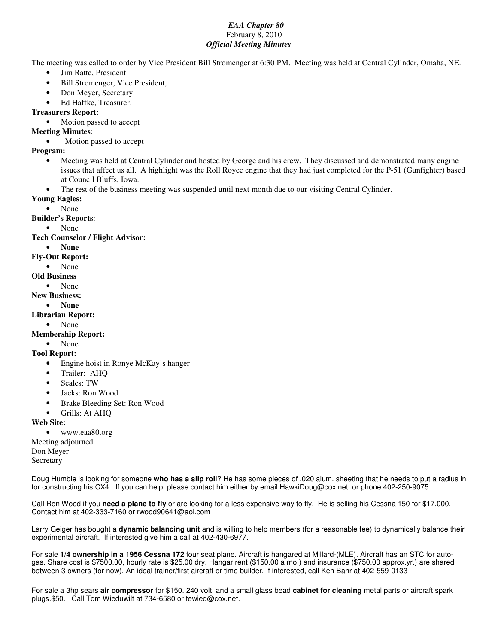#### *EAA Chapter 80* February 8, 2010 *Official Meeting Minutes*

The meeting was called to order by Vice President Bill Stromenger at 6:30 PM. Meeting was held at Central Cylinder, Omaha, NE.

- Jim Ratte, President
- Bill Stromenger, Vice President,
- Don Meyer, Secretary
- Ed Haffke, Treasurer.

#### **Treasurers Report**:

- Motion passed to accept
- **Meeting Minutes**:
	- Motion passed to accept

#### **Program:**

- Meeting was held at Central Cylinder and hosted by George and his crew. They discussed and demonstrated many engine issues that affect us all. A highlight was the Roll Royce engine that they had just completed for the P-51 (Gunfighter) based at Council Bluffs, Iowa.
- The rest of the business meeting was suspended until next month due to our visiting Central Cylinder.

#### **Young Eagles:**

• None

#### **Builder's Reports**:

- None
- **Tech Counselor / Flight Advisor:**
	- **None**

### **Fly-Out Report:**

• None

## **Old Business**

- None
- **New Business:**

## • **None**

- **Librarian Report:**
	- None
- **Membership Report:**

#### • None **Tool Report:**

- Engine hoist in Ronye McKay's hanger
- Trailer: AHQ
- Scales: TW
- Jacks: Ron Wood
- Brake Bleeding Set: Ron Wood
- Grills: At AHQ

### **Web Site:**

• www.eaa80.org Meeting adjourned. Don Meyer Secretary

Doug Humble is looking for someone **who has a slip roll**? He has some pieces of .020 alum. sheeting that he needs to put a radius in for constructing his CX4. If you can help, please contact him either by email HawkiDoug@cox.net or phone 402-250-9075.

Call Ron Wood if you **need a plane to fly** or are looking for a less expensive way to fly. He is selling his Cessna 150 for \$17,000. Contact him at 402-333-7160 or rwood90641@aol.com

Larry Geiger has bought a **dynamic balancing unit** and is willing to help members (for a reasonable fee) to dynamically balance their experimental aircraft. If interested give him a call at 402-430-6977.

For sale **1/4 ownership in a 1956 Cessna 172** four seat plane. Aircraft is hangared at Millard-(MLE). Aircraft has an STC for autogas. Share cost is \$7500.00, hourly rate is \$25.00 dry. Hangar rent (\$150.00 a mo.) and insurance (\$750.00 approx.yr.) are shared between 3 owners (for now). An ideal trainer/first aircraft or time builder. If interested, call Ken Bahr at 402-559-0133

For sale a 3hp sears **air compressor** for \$150. 240 volt. and a small glass bead **cabinet for cleaning** metal parts or aircraft spark plugs.\$50. Call Tom Wieduwilt at 734-6580 or tewied@cox.net.